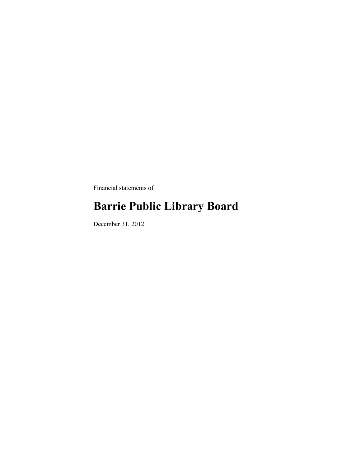Financial statements of

# **Barrie Public Library Board**

December 31, 2012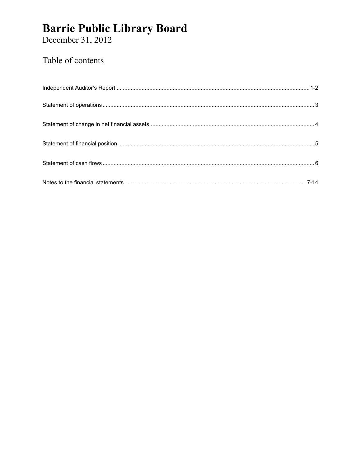# **Barrie Public Library Board**<br>December 31, 2012

### Table of contents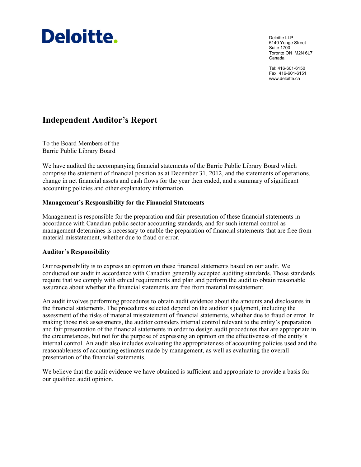

Deloitte LLP 5140 Yonge Street Suite 1700 Toronto ON M2N 6L7 Canada

Tel: 416-601-6150 Fax: 416-601-6151 www.deloitte.ca

### **Independent Auditor's Report**

To the Board Members of the Barrie Public Library Board

We have audited the accompanying financial statements of the Barrie Public Library Board which comprise the statement of financial position as at December 31, 2012, and the statements of operations, change in net financial assets and cash flows for the year then ended, and a summary of significant accounting policies and other explanatory information.

#### **Management's Responsibility for the Financial Statements**

Management is responsible for the preparation and fair presentation of these financial statements in accordance with Canadian public sector accounting standards, and for such internal control as management determines is necessary to enable the preparation of financial statements that are free from material misstatement, whether due to fraud or error.

#### **Auditor's Responsibility**

Our responsibility is to express an opinion on these financial statements based on our audit. We conducted our audit in accordance with Canadian generally accepted auditing standards. Those standards require that we comply with ethical requirements and plan and perform the audit to obtain reasonable assurance about whether the financial statements are free from material misstatement.

An audit involves performing procedures to obtain audit evidence about the amounts and disclosures in the financial statements. The procedures selected depend on the auditor's judgment, including the assessment of the risks of material misstatement of financial statements, whether due to fraud or error. In making those risk assessments, the auditor considers internal control relevant to the entity's preparation and fair presentation of the financial statements in order to design audit procedures that are appropriate in the circumstances, but not for the purpose of expressing an opinion on the effectiveness of the entity's internal control. An audit also includes evaluating the appropriateness of accounting policies used and the reasonableness of accounting estimates made by management, as well as evaluating the overall presentation of the financial statements.

We believe that the audit evidence we have obtained is sufficient and appropriate to provide a basis for our qualified audit opinion.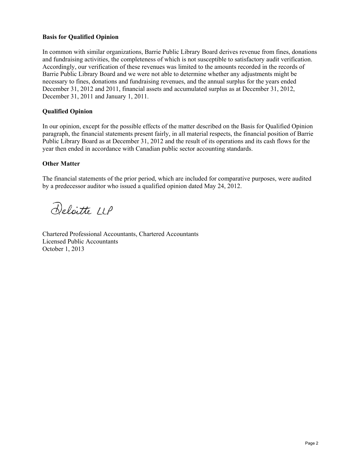#### **Basis for Qualified Opinion**

In common with similar organizations, Barrie Public Library Board derives revenue from fines, donations and fundraising activities, the completeness of which is not susceptible to satisfactory audit verification. Accordingly, our verification of these revenues was limited to the amounts recorded in the records of Barrie Public Library Board and we were not able to determine whether any adjustments might be necessary to fines, donations and fundraising revenues, and the annual surplus for the years ended December 31, 2012 and 2011, financial assets and accumulated surplus as at December 31, 2012, December 31, 2011 and January 1, 2011.

#### **Qualified Opinion**

In our opinion, except for the possible effects of the matter described on the Basis for Qualified Opinion paragraph, the financial statements present fairly, in all material respects, the financial position of Barrie Public Library Board as at December 31, 2012 and the result of its operations and its cash flows for the year then ended in accordance with Canadian public sector accounting standards.

#### **Other Matter**

The financial statements of the prior period, which are included for comparative purposes, were audited by a predecessor auditor who issued a qualified opinion dated May 24, 2012.

Deloitte LLP

Chartered Professional Accountants, Chartered Accountants Licensed Public Accountants October 1, 2013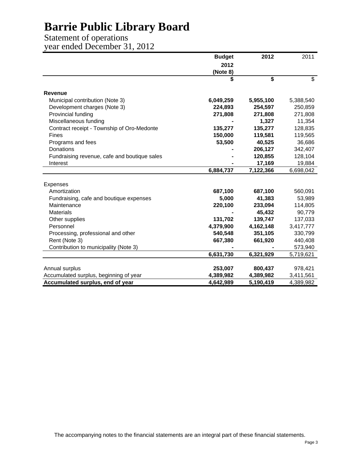Statement of operations year ended December 31, 2012

|                                                        | <b>Budget</b>    | 2012              | 2011              |
|--------------------------------------------------------|------------------|-------------------|-------------------|
|                                                        | 2012             |                   |                   |
|                                                        | (Note 8)         |                   |                   |
|                                                        | \$               | \$                | \$                |
| <b>Revenue</b>                                         |                  |                   |                   |
| Municipal contribution (Note 3)                        | 6,049,259        | 5,955,100         | 5,388,540         |
| Development charges (Note 3)                           | 224,893          | 254,597           | 250,859           |
| Provincial funding                                     | 271,808          | 271,808           | 271,808           |
| Miscellaneous funding                                  |                  | 1,327             | 11,354            |
| Contract receipt - Township of Oro-Medonte             | 135,277          | 135,277           | 128,835           |
| Fines                                                  | 150,000          | 119,581           | 119,565           |
| Programs and fees                                      | 53,500           | 40,525            | 36,686            |
| Donations                                              |                  | 206,127           | 342,407           |
| Fundraising revenue, cafe and boutique sales           |                  | 120,855           | 128,104           |
| Interest                                               |                  | 17,169            | 19,884            |
|                                                        | 6,884,737        | 7,122,366         | 6,698,042         |
|                                                        |                  |                   |                   |
| <b>Expenses</b><br>Amortization                        |                  |                   |                   |
|                                                        | 687,100          | 687,100           | 560,091           |
| Fundraising, cafe and boutique expenses<br>Maintenance | 5,000<br>220,100 | 41,383<br>233,094 | 53,989<br>114,805 |
| <b>Materials</b>                                       |                  | 45,432            | 90,779            |
| Other supplies                                         | 131,702          | 139,747           | 137,033           |
| Personnel                                              | 4,379,900        | 4,162,148         | 3,417,777         |
| Processing, professional and other                     | 540,548          | 351,105           | 330,799           |
| Rent (Note 3)                                          | 667,380          | 661,920           | 440,408           |
| Contribution to municipality (Note 3)                  |                  |                   | 573,940           |
|                                                        | 6,631,730        | 6,321,929         | 5,719,621         |
|                                                        |                  |                   |                   |
| Annual surplus                                         | 253,007          | 800,437           | 978,421           |
| Accumulated surplus, beginning of year                 | 4,389,982        | 4,389,982         | 3,411,561         |
| Accumulated surplus, end of year                       | 4,642,989        | 5,190,419         | 4,389,982         |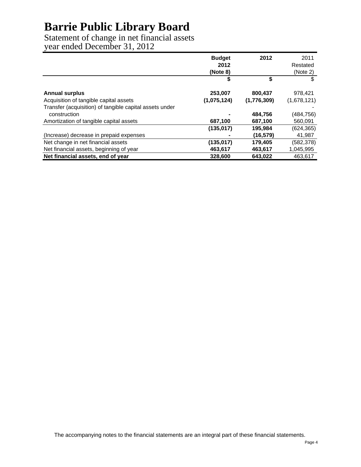Statement of change in net financial assets year ended December 31, 2012

|                                                                         | <b>Budget</b><br>2012<br>(Note 8) | 2012                   | 2011<br>Restated<br>(Note 2) |
|-------------------------------------------------------------------------|-----------------------------------|------------------------|------------------------------|
|                                                                         | \$                                | \$                     | \$                           |
| <b>Annual surplus</b><br>Acquisition of tangible capital assets         | 253,007<br>(1,075,124)            | 800,437<br>(1,776,309) | 978,421<br>(1,678,121)       |
| Transfer (acquisition) of tangible capital assets under<br>construction |                                   | 484.756                | (484,756)                    |
| Amortization of tangible capital assets                                 | 687,100                           | 687,100                | 560,091                      |
|                                                                         | (135, 017)                        | 195,984                | (624,365)                    |
| (Increase) decrease in prepaid expenses                                 |                                   | (16, 579)              | 41,987                       |
| Net change in net financial assets                                      | (135, 017)                        | 179,405                | (582, 378)                   |
| Net financial assets, beginning of year                                 | 463,617                           | 463,617                | 1,045,995                    |
| Net financial assets, end of year                                       | 328,600                           | 643,022                | 463,617                      |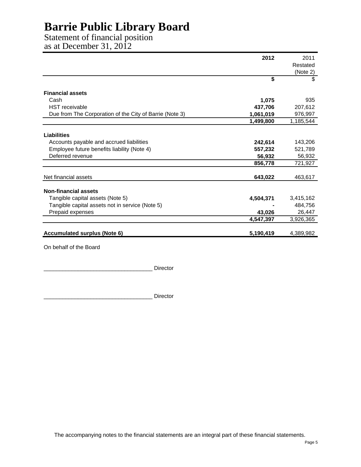Statement of financial position

as at December 31, 2012

|                                                         | 2012      | 2011      |
|---------------------------------------------------------|-----------|-----------|
|                                                         |           | Restated  |
|                                                         |           | (Note 2)  |
|                                                         | \$        | \$        |
| <b>Financial assets</b>                                 |           |           |
| Cash                                                    | 1,075     | 935       |
| <b>HST</b> receivable                                   | 437,706   | 207,612   |
| Due from The Corporation of the City of Barrie (Note 3) | 1,061,019 | 976,997   |
|                                                         | 1,499,800 | 1,185,544 |
|                                                         |           |           |
| <b>Liabilities</b>                                      |           |           |
| Accounts payable and accrued liabilities                | 242,614   | 143,206   |
| Employee future benefits liability (Note 4)             | 557,232   | 521,789   |
| Deferred revenue                                        | 56,932    | 56,932    |
|                                                         | 856,778   | 721,927   |
|                                                         |           |           |
| Net financial assets                                    | 643,022   | 463,617   |
| <b>Non-financial assets</b>                             |           |           |
| Tangible capital assets (Note 5)                        | 4,504,371 | 3,415,162 |
| Tangible capital assets not in service (Note 5)         |           | 484,756   |
| Prepaid expenses                                        | 43,026    | 26,447    |
|                                                         | 4,547,397 | 3,926,365 |
| <b>Accumulated surplus (Note 6)</b>                     | 5,190,419 | 4,389,982 |

On behalf of the Board

\_\_\_\_\_\_\_\_\_\_\_\_\_\_\_\_\_\_\_\_\_\_\_\_\_\_\_\_\_\_\_\_\_\_\_ Director

\_\_\_\_\_\_\_\_\_\_\_\_\_\_\_\_\_\_\_\_\_\_\_\_\_\_\_\_\_\_\_\_\_\_\_ Director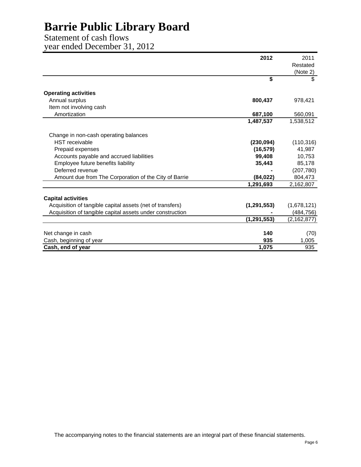Statement of cash flows year ended December 31, 2012

|                                                           | 2012          | 2011          |
|-----------------------------------------------------------|---------------|---------------|
|                                                           |               | Restated      |
|                                                           |               | (Note 2)      |
|                                                           | \$            | \$            |
| <b>Operating activities</b>                               |               |               |
| Annual surplus                                            | 800,437       | 978,421       |
| Item not involving cash                                   |               |               |
| Amortization                                              | 687,100       | 560,091       |
|                                                           | 1,487,537     | 1,538,512     |
| Change in non-cash operating balances                     |               |               |
| <b>HST</b> receivable                                     | (230, 094)    | (110, 316)    |
| Prepaid expenses                                          | (16, 579)     | 41,987        |
| Accounts payable and accrued liabilities                  | 99,408        | 10,753        |
| Employee future benefits liability                        | 35,443        | 85,178        |
| Deferred revenue                                          |               | (207, 780)    |
| Amount due from The Corporation of the City of Barrie     | (84, 022)     | 804,473       |
|                                                           | 1,291,693     | 2,162,807     |
| <b>Capital activities</b>                                 |               |               |
| Acquisition of tangible capital assets (net of transfers) | (1, 291, 553) | (1,678,121)   |
| Acquisition of tangible capital assets under construction |               | (484,756)     |
|                                                           | (1, 291, 553) | (2, 162, 877) |
| Net change in cash                                        | 140           | (70)          |
| Cash, beginning of year                                   | 935           | 1,005         |
| Cash, end of year                                         | 1,075         | 935           |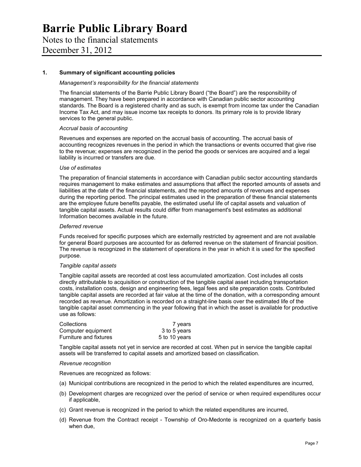Notes to the financial statements December 31, 2012

#### **1. Summary of significant accounting policies**

#### *Management's responsibility for the financial statements*

The financial statements of the Barrie Public Library Board ("the Board") are the responsibility of management. They have been prepared in accordance with Canadian public sector accounting standards. The Board is a registered charity and as such, is exempt from income tax under the Canadian Income Tax Act, and may issue income tax receipts to donors. Its primary role is to provide library services to the general public.

#### *Accrual basis of accounting*

Revenues and expenses are reported on the accrual basis of accounting. The accrual basis of accounting recognizes revenues in the period in which the transactions or events occurred that give rise to the revenue; expenses are recognized in the period the goods or services are acquired and a legal liability is incurred or transfers are due.

#### *Use of estimates*

The preparation of financial statements in accordance with Canadian public sector accounting standards requires management to make estimates and assumptions that affect the reported amounts of assets and liabilities at the date of the financial statements, and the reported amounts of revenues and expenses during the reporting period. The principal estimates used in the preparation of these financial statements are the employee future benefits payable, the estimated useful life of capital assets and valuation of tangible capital assets. Actual results could differ from management's best estimates as additional Information becomes available in the future.

#### *Deferred revenue*

Funds received for specific purposes which are externally restricted by agreement and are not available for general Board purposes are accounted for as deferred revenue on the statement of financial position. The revenue is recognized in the statement of operations in the year in which it is used for the specified purpose.

#### *Tangible capital assets*

Tangible capital assets are recorded at cost less accumulated amortization. Cost includes all costs directly attributable to acquisition or construction of the tangible capital asset including transportation costs, installation costs, design and engineering fees, legal fees and site preparation costs. Contributed tangible capital assets are recorded at fair value at the time of the donation, with a corresponding amount recorded as revenue. Amortization is recorded on a straight-line basis over the estimated life of the tangible capital asset commencing in the year following that in which the asset is available for productive use as follows:

| Collections            | 7 years       |
|------------------------|---------------|
| Computer equipment     | 3 to 5 years  |
| Furniture and fixtures | 5 to 10 years |

Tangible capital assets not yet in service are recorded at cost. When put in service the tangible capital assets will be transferred to capital assets and amortized based on classification.

#### *Revenue recognition*

Revenues are recognized as follows:

- (a) Municipal contributions are recognized in the period to which the related expenditures are incurred,
- (b) Development charges are recognized over the period of service or when required expenditures occur if applicable,
- (c) Grant revenue is recognized in the period to which the related expenditures are incurred,
- (d) Revenue from the Contract receipt Township of Oro-Medonte is recognized on a quarterly basis when due,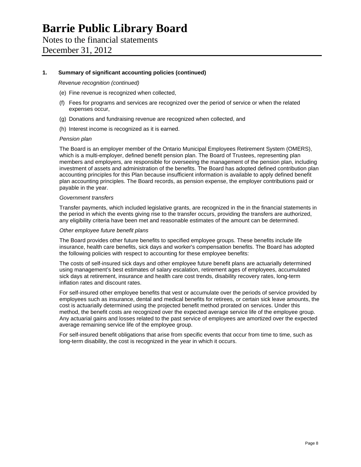### Notes to the financial statements December 31, 2012

#### **1. Summary of significant accounting policies (continued)**

#### *Revenue recognition (continued)*

- (e) Fine revenue is recognized when collected,
- (f) Fees for programs and services are recognized over the period of service or when the related expenses occur,
- (g) Donations and fundraising revenue are recognized when collected, and
- (h) Interest income is recognized as it is earned.

#### *Pension plan*

The Board is an employer member of the Ontario Municipal Employees Retirement System (OMERS), which is a multi-employer, defined benefit pension plan. The Board of Trustees, representing plan members and employers, are responsible for overseeing the management of the pension plan, including investment of assets and administration of the benefits. The Board has adopted defined contribution plan accounting principles for this Plan because insufficient information is available to apply defined benefit plan accounting principles. The Board records, as pension expense, the employer contributions paid or payable in the year.

#### *Government transfers*

Transfer payments, which included legislative grants, are recognized in the in the financial statements in the period in which the events giving rise to the transfer occurs, providing the transfers are authorized, any eligibility criteria have been met and reasonable estimates of the amount can be determined.

#### *Other employee future benefit plans*

The Board provides other future benefits to specified employee groups. These benefits include life insurance, health care benefits, sick days and worker's compensation benefits. The Board has adopted the following policies with respect to accounting for these employee benefits:

The costs of self-insured sick days and other employee future benefit plans are actuarially determined using management's best estimates of salary escalation, retirement ages of employees, accumulated sick days at retirement, insurance and health care cost trends, disability recovery rates, long-term inflation rates and discount rates.

For self-insured other employee benefits that vest or accumulate over the periods of service provided by employees such as insurance, dental and medical benefits for retirees, or certain sick leave amounts, the cost is actuarially determined using the projected benefit method prorated on services. Under this method, the benefit costs are recognized over the expected average service life of the employee group. Any actuarial gains and losses related to the past service of employees are amortized over the expected average remaining service life of the employee group.

For self-insured benefit obligations that arise from specific events that occur from time to time, such as long-term disability, the cost is recognized in the year in which it occurs.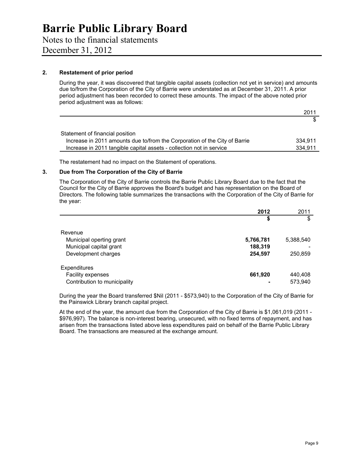Notes to the financial statements

December 31, 2012

#### **2. Restatement of prior period**

During the year, it was discovered that tangible capital assets (collection not yet in service) and amounts due to/from the Corporation of the City of Barrie were understated as at December 31, 2011. A prior period adjustment has been recorded to correct these amounts. The impact of the above noted prior period adjustment was as follows:

|                                                                            | 2011    |
|----------------------------------------------------------------------------|---------|
|                                                                            |         |
|                                                                            |         |
| Statement of financial position                                            |         |
| Increase in 2011 amounts due to/from the Corporation of the City of Barrie | 334.911 |
| Increase in 2011 tangible capital assets - collection not in service       | 334.911 |

The restatement had no impact on the Statement of operations.

#### **3. Due from The Corporation of the City of Barrie**

The Corporation of the City of Barrie controls the Barrie Public Library Board due to the fact that the Council for the City of Barrie approves the Board's budget and has representation on the Board of Directors. The following table summarizes the transactions with the Corporation of the City of Barrie for the year:

|                              | 2012      | 2011      |
|------------------------------|-----------|-----------|
|                              | \$        | \$        |
| Revenue                      |           |           |
| Municipal operting grant     | 5,766,781 | 5,388,540 |
| Municipal capital grant      | 188,319   |           |
| Development charges          | 254,597   | 250,859   |
| Expenditures                 |           |           |
| <b>Facility expenses</b>     | 661,920   | 440,408   |
| Contribution to municipality |           | 573,940   |

During the year the Board transferred \$Nil (2011 - \$573,940) to the Corporation of the City of Barrie for the Painswick Library branch capital project.

At the end of the year, the amount due from the Corporation of the City of Barrie is \$1,061,019 (2011 - \$976,997). The balance is non-interest bearing, unsecured, with no fixed terms of repayment, and has arisen from the transactions listed above less expenditures paid on behalf of the Barrie Public Library Board. The transactions are measured at the exchange amount.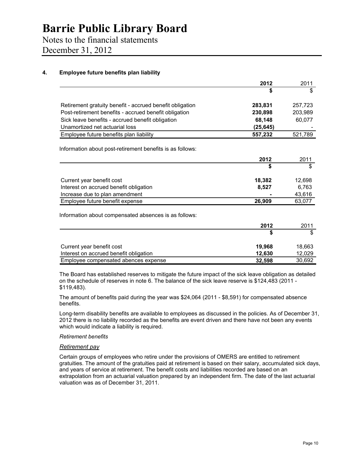### Notes to the financial statements

December 31, 2012

#### **4. Employee future benefits plan liability**

|                                                          | 2012      | 2011    |
|----------------------------------------------------------|-----------|---------|
|                                                          | S         | \$      |
| Retirement gratuity benefit - accrued benefit obligation | 283,831   | 257.723 |
| Post-retirement benefits - accrued benefit obligation    | 230,898   | 203,989 |
| Sick leave benefits - accrued benefit obligation         | 68,148    | 60.077  |
| Unamortized net actuarial loss                           | (25, 645) |         |
| Employee future benefits plan liability                  | 557,232   | 521,789 |

Information about post-retirement benefits is as follows:

|                                        | 2012   | 2011   |
|----------------------------------------|--------|--------|
|                                        |        | \$     |
| Current year benefit cost              | 18.382 | 12,698 |
| Interest on accrued benefit obligation | 8.527  | 6.763  |
| Increase due to plan amendment         |        | 43,616 |
| Employee future benefit expense        | 26,909 | 63.077 |

Information about compensated absences is as follows:

|                                        | 2012   | 2011   |
|----------------------------------------|--------|--------|
|                                        |        | σ      |
| Current year benefit cost              | 19.968 | 18,663 |
| Interest on accrued benefit obligation | 12.630 | 12.029 |
| Employee compensated abences expense   | 32.598 | 30,692 |

The Board has established reserves to mitigate the future impact of the sick leave obligation as detailed on the schedule of reserves in note 6. The balance of the sick leave reserve is \$124,483 (2011 - \$119,483).

The amount of benefits paid during the year was \$24,064 (2011 - \$8,591) for compensated absence benefits.

Long-term disability benefits are available to employees as discussed in the policies. As of December 31, 2012 there is no liability recorded as the benefits are event driven and there have not been any events which would indicate a liability is required.

#### *Retirement benefits*

#### *Retirement pay*

Certain groups of employees who retire under the provisions of OMERS are entitled to retirement gratuities. The amount of the gratuities paid at retirement is based on their salary, accumulated sick days, and years of service at retirement. The benefit costs and liabilities recorded are based on an extrapolation from an actuarial valuation prepared by an independent firm. The date of the last actuarial valuation was as of December 31, 2011.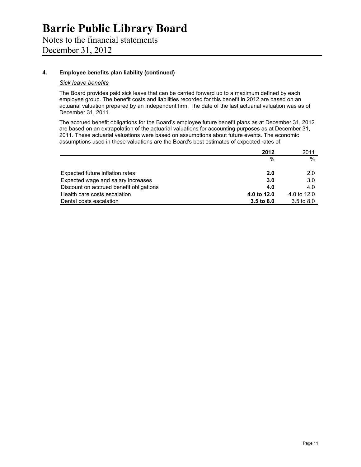December 31, 2012

#### **4. Employee benefits plan liability (continued)**

#### *Sick leave benefits*

The Board provides paid sick leave that can be carried forward up to a maximum defined by each employee group. The benefit costs and liabilities recorded for this benefit in 2012 are based on an actuarial valuation prepared by an Independent firm. The date of the last actuarial valuation was as of December 31, 2011.

The accrued benefit obligations for the Board's employee future benefit plans as at December 31, 2012 are based on an extrapolation of the actuarial valuations for accounting purposes as at December 31, 2011. These actuarial valuations were based on assumptions about future events. The economic assumptions used in these valuations are the Board's best estimates of expected rates of:

|                                         | 2012                  | 2011                  |
|-----------------------------------------|-----------------------|-----------------------|
|                                         | %                     | $\frac{0}{0}$         |
| Expected future inflation rates         | 2.0                   | 2.0                   |
| Expected wage and salary increases      | 3.0                   | 3.0                   |
| Discount on accrued benefit obligations | 4.0                   | 4.0                   |
| Health care costs escalation            | 4.0 to 12.0           | 4.0 to 12.0           |
| Dental costs escalation                 | $3.5 \text{ to } 8.0$ | $3.5 \text{ to } 8.0$ |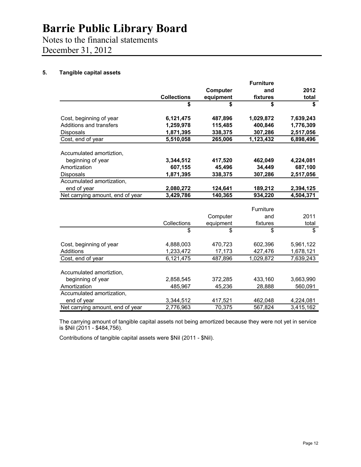Notes to the financial statements

December 31, 2012

#### **5. Tangible capital assets**

| <b>Furniture</b>   |           |           |           |
|--------------------|-----------|-----------|-----------|
|                    | Computer  | and       | 2012      |
| <b>Collections</b> | equipment | fixtures  | total     |
| \$                 | S         | \$        | \$        |
| 6,121,475          | 487,896   | 1,029,872 | 7,639,243 |
| 1,259,978          | 115,485   | 400,846   | 1,776,309 |
| 1,871,395          | 338,375   | 307,286   | 2,517,056 |
| 5,510,058          | 265,006   | 1,123,432 | 6,898,496 |
|                    |           |           |           |
| 3,344,512          | 417,520   | 462,049   | 4,224,081 |
| 607,155            | 45,496    | 34.449    | 687,100   |
| 1,871,395          | 338,375   | 307,286   | 2,517,056 |
|                    |           |           |           |
| 2,080,272          | 124,641   | 189,212   | 2,394,125 |
| 3,429,786          | 140,365   | 934,220   | 4,504,371 |
|                    |           |           |           |

|                                  | Furniture   |           |           |           |
|----------------------------------|-------------|-----------|-----------|-----------|
|                                  |             | Computer  | and       | 2011      |
|                                  | Collections | equipment | fixtures  | total     |
|                                  | \$          | \$        | \$        | \$        |
| Cost, beginning of year          | 4,888,003   | 470,723   | 602,396   | 5,961,122 |
| Additions                        | 1,233,472   | 17,173    | 427,476   | 1,678,121 |
| Cost, end of year                | 6,121,475   | 487,896   | 1,029,872 | 7,639,243 |
| Accumulated amortiztion,         |             |           |           |           |
| beginning of year                | 2,858,545   | 372,285   | 433,160   | 3,663,990 |
| Amortization                     | 485,967     | 45,236    | 28,888    | 560,091   |
| Accumulated amortization,        |             |           |           |           |
| end of year                      | 3,344,512   | 417,521   | 462,048   | 4,224,081 |
| Net carrying amount, end of year | 2,776,963   | 70,375    | 567.824   | 3,415,162 |

The carrying amount of tangible capital assets not being amortized because they were not yet in service is \$Nil (2011 - \$484,756).

Contributions of tangible capital assets were \$Nil (2011 - \$Nil).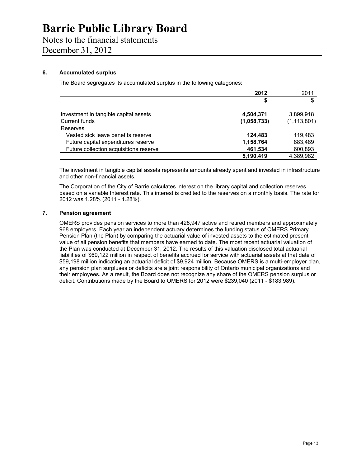### Notes to the financial statements

December 31, 2012

#### **6. Accumulated surplus**

The Board segregates its accumulated surplus in the following categories:

|                                        | 2012        | 2011          |
|----------------------------------------|-------------|---------------|
|                                        | \$          | \$            |
| Investment in tangible capital assets  | 4,504,371   | 3,899,918     |
| <b>Current funds</b>                   | (1,058,733) | (1, 113, 801) |
| Reserves                               |             |               |
| Vested sick leave benefits reserve     | 124,483     | 119,483       |
| Future capital expenditures reserve    | 1,158,764   | 883,489       |
| Future collection acquisitions reserve | 461,534     | 600,893       |
|                                        | 5,190,419   | 4,389,982     |

The investment in tangible capital assets represents amounts already spent and invested in infrastructure and other non-financial assets.

The Corporation of the City of Barrie calculates interest on the library capital and collection reserves based on a variable Interest rate. This interest is credited to the reserves on a monthly basis. The rate for 2012 was 1.28% (2011 - 1.28%).

#### **7. Pension agreement**

OMERS provides pension services to more than 428,947 active and retired members and approximately 968 employers. Each year an independent actuary determines the funding status of OMERS Primary Pension Plan (the Plan) by comparing the actuarial value of invested assets to the estimated present value of all pension benefits that members have earned to date. The most recent actuarial valuation of the Plan was conducted at December 31, 2012. The results of this valuation disclosed total actuarial liabilities of \$69,122 million in respect of benefits accrued for service with actuarial assets at that date of \$59,198 million indicating an actuarial deficit of \$9,924 million. Because OMERS is a multi-employer plan, any pension plan surpluses or deficits are a joint responsibility of Ontario municipal organizations and their employees. As a result, the Board does not recognize any share of the OMERS pension surplus or deficit. Contributions made by the Board to OMERS for 2012 were \$239,040 (2011 - \$183,989).